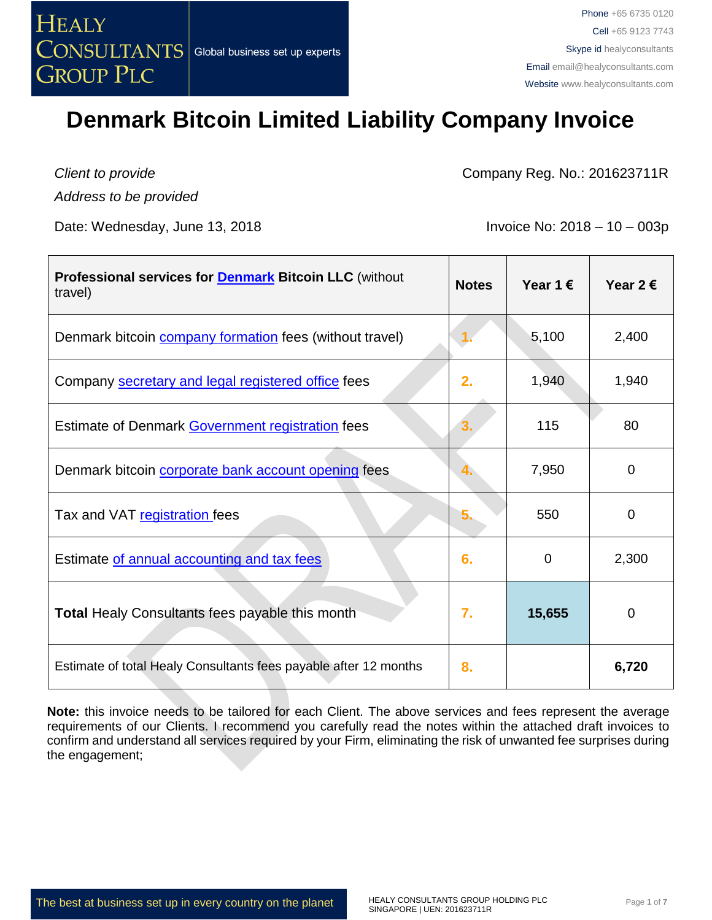

*Client to provide Address to be provided*

Date: Wednesday, June 13, 2018  $\blacksquare$  Invoice No: 2018 – 10 – 003p

Company Reg. No.: 201623711R

| <b>Professional services for Denmark Bitcoin LLC</b> (without<br>travel) | <b>Notes</b> | Year 1 $\epsilon$ | Year 2 $\epsilon$ |
|--------------------------------------------------------------------------|--------------|-------------------|-------------------|
| Denmark bitcoin <b>company formation</b> fees (without travel)           |              | 5,100             | 2,400             |
| Company <b>secretary and legal registered office</b> fees                | 2.           | 1,940             | 1,940             |
| Estimate of Denmark Government registration fees                         |              | 115               | 80                |
| Denmark bitcoin corporate bank account opening fees                      |              | 7,950             | $\mathbf 0$       |
| Tax and VAT registration fees                                            | 5.           | 550               | $\Omega$          |
| Estimate of annual accounting and tax fees                               | 6.           | $\mathbf 0$       | 2,300             |
| <b>Total Healy Consultants fees payable this month</b>                   | 7.           | 15,655            | $\mathbf 0$       |
| Estimate of total Healy Consultants fees payable after 12 months         | 8.           |                   | 6,720             |

**Note:** this invoice needs to be tailored for each Client. The above services and fees represent the average requirements of our Clients. I recommend you carefully read the notes within the attached draft invoices to confirm and understand all services required by your Firm, eliminating the risk of unwanted fee surprises during the engagement;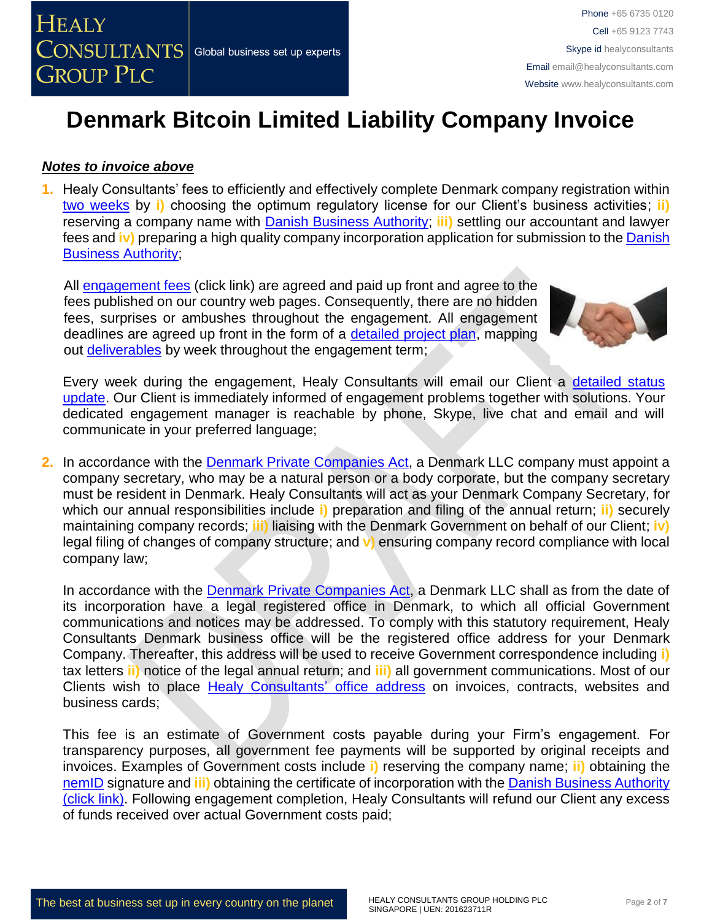

#### *Notes to invoice above*

**1.** Healy Consultants' fees to efficiently and effectively complete Denmark company registration within [two weeks](http://www.healyconsultants.com/denmark-company-registration/fees-timelines/#timelines) by **i)** choosing the optimum regulatory license for our Client's business activities; **ii)** reserving a company name with [Danish Business Authority;](https://danishbusinessauthority.dk/) **iii)** settling our accountant and lawyer fees and **iv)** preparing a high quality company incorporation application for submission to the [Danish](https://danishbusinessauthority.dk/)  [Business Authority;](https://danishbusinessauthority.dk/)

All **engagement fees** (click link) are agreed and paid up front and agree to the fees published on our country web pages. Consequently, there are no hidden fees, surprises or ambushes throughout the engagement. All engagement deadlines are agreed up front in the form of a [detailed project plan,](http://www.healyconsultants.com/index-important-links/example-project-plan/) mapping out [deliverables](http://www.healyconsultants.com/deliverables-to-our-clients/) by week throughout the engagement term;



Every week during the engagement, Healy Consultants will email our Client a [detailed status](http://www.healyconsultants.com/index-important-links/weekly-engagement-status-email/)  [update.](http://www.healyconsultants.com/index-important-links/weekly-engagement-status-email/) Our Client is immediately informed of engagement problems together with solutions. Your dedicated engagement manager is reachable by phone, Skype, live chat and email and will communicate in your preferred language;

**2.** In accordance with the [Denmark Private Companies Act,](http://www.eogs.dk/graphics/selskaber/APS_en.html) a Denmark LLC company must appoint a company secretary, who may be a natural person or a body corporate, but the company secretary must be resident in Denmark. Healy Consultants will act as your Denmark Company Secretary, for which our annual responsibilities include **i)** preparation and filing of the annual return; **ii)** securely maintaining company records; **iii)** liaising with the Denmark Government on behalf of our Client; **iv)**  legal filing of changes of company structure; and **v)** ensuring company record compliance with local company law;

In accordance with the [Denmark Private Companies Act,](http://www.eogs.dk/graphics/selskaber/APS_en.html) a Denmark LLC shall as from the date of its incorporation have a legal registered office in Denmark, to which all official Government communications and notices may be addressed. To comply with this statutory requirement, Healy Consultants Denmark business office will be the registered office address for your Denmark Company. Thereafter, this address will be used to receive Government correspondence including **i)** tax letters **ii)** notice of the legal annual return; and **iii)** all government communications. Most of our Clients wish to place [Healy Consultants'](http://www.healyconsultants.com/corporate-outsourcing-services/company-secretary-and-legal-registered-office/) office address on invoices, contracts, websites and business cards;

This fee is an estimate of Government costs payable during your Firm's engagement. For transparency purposes, all government fee payments will be supported by original receipts and invoices. Examples of Government costs include **i)** reserving the company name; **ii)** obtaining the [nemID](https://www.nemid.nu/dk-en/) signature and **iii)** obtaining the certificate of incorporation with the [Danish Business Authority](https://danishbusinessauthority.dk/)  [\(click link\).](https://danishbusinessauthority.dk/) Following engagement completion, Healy Consultants will refund our Client any excess of funds received over actual Government costs paid;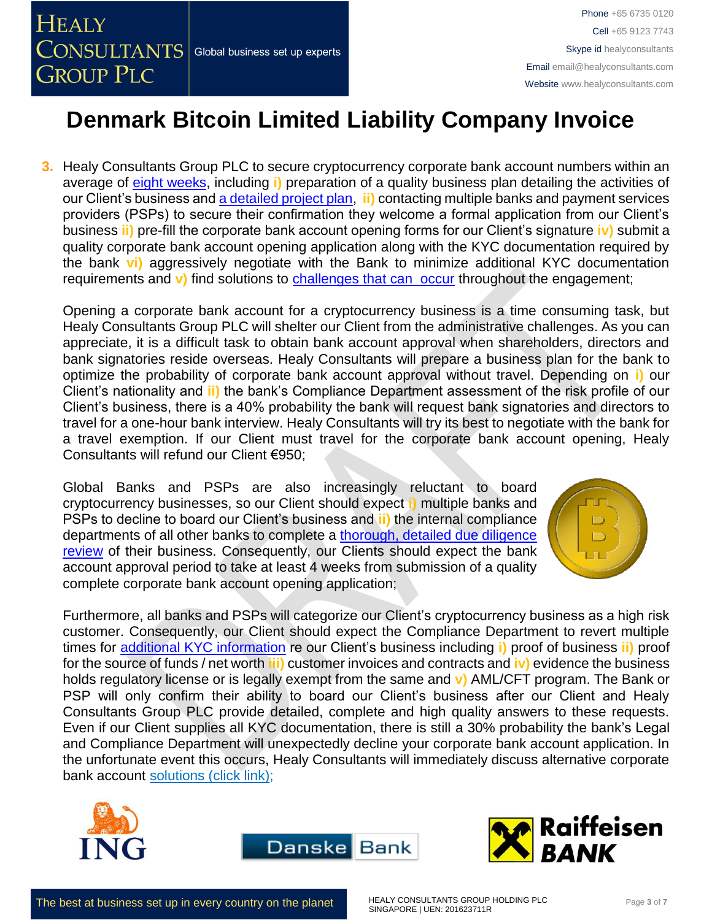

**3.** Healy Consultants Group PLC to secure cryptocurrency corporate bank account numbers within an average of [eight weeks,](http://www.healyconsultants.com/international-banking/bitcoin-business-bank-account/) including **i)** preparation of a quality business plan detailing the activities of our Client's business and [a detailed project plan,](http://www.healyconsultants.com/index-important-links/example-project-plan/) **ii)** contacting multiple banks and payment services providers (PSPs) to secure their confirmation they welcome a formal application from our Client's business **ii)** pre-fill the corporate bank account opening forms for our Client's signature **iv)** submit a quality corporate bank account opening application along with the KYC documentation required by the bank **vi)** aggressively negotiate with the Bank to minimize additional KYC documentation requirements and **v)** find solutions to [challenges that can occur](http://www.healyconsultants.com/engagement-project-management/) throughout the engagement;

Opening a corporate bank account for a cryptocurrency business is a time consuming task, but Healy Consultants Group PLC will shelter our Client from the administrative challenges. As you can appreciate, it is a difficult task to obtain bank account approval when shareholders, directors and bank signatories reside overseas. Healy Consultants will prepare a business plan for the bank to optimize the probability of corporate bank account approval without travel. Depending on **i)** our Client's nationality and **ii)** the bank's Compliance Department assessment of the risk profile of our Client's business, there is a 40% probability the bank will request bank signatories and directors to travel for a one-hour bank interview. Healy Consultants will try its best to negotiate with the bank for a travel exemption. If our Client must travel for the corporate bank account opening, Healy Consultants will refund our Client €950;

Global Banks and PSPs are also increasingly reluctant to board cryptocurrency businesses, so our Client should expect **i)** multiple banks and PSPs to decline to board our Client's business and **ii)** the internal compliance departments of all other banks to complete a thorough, detailed due diligence [review](http://www.healyconsultants.com/international-banking/opening-corporate-bank-accounts/) of their business. Consequently, our Clients should expect the bank account approval period to take at least 4 weeks from submission of a quality complete corporate bank account opening application;



Furthermore, all banks and PSPs will categorize our Client's cryptocurrency business as a high risk customer. Consequently, our Client should expect the Compliance Department to revert multiple times for [additional KYC information](http://www.healyconsultants.com/due-diligence/) re our Client's business including **i)** proof of business **ii)** proof for the source of funds / net worth **iii)** customer invoices and contracts and **iv)** evidence the business holds regulatory license or is legally exempt from the same and **v)** AML/CFT program. The Bank or PSP will only confirm their ability to board our Client's business after our Client and Healy Consultants Group PLC provide detailed, complete and high quality answers to these requests. Even if our Client supplies all KYC documentation, there is still a 30% probability the bank's Legal and Compliance Department will unexpectedly decline your corporate bank account application. In the unfortunate event this occurs, Healy Consultants will immediately discuss alternative corporate bank account [solutions \(click link\);](http://www.healyconsultants.com/global-corporate-banking-for-resident-company/)





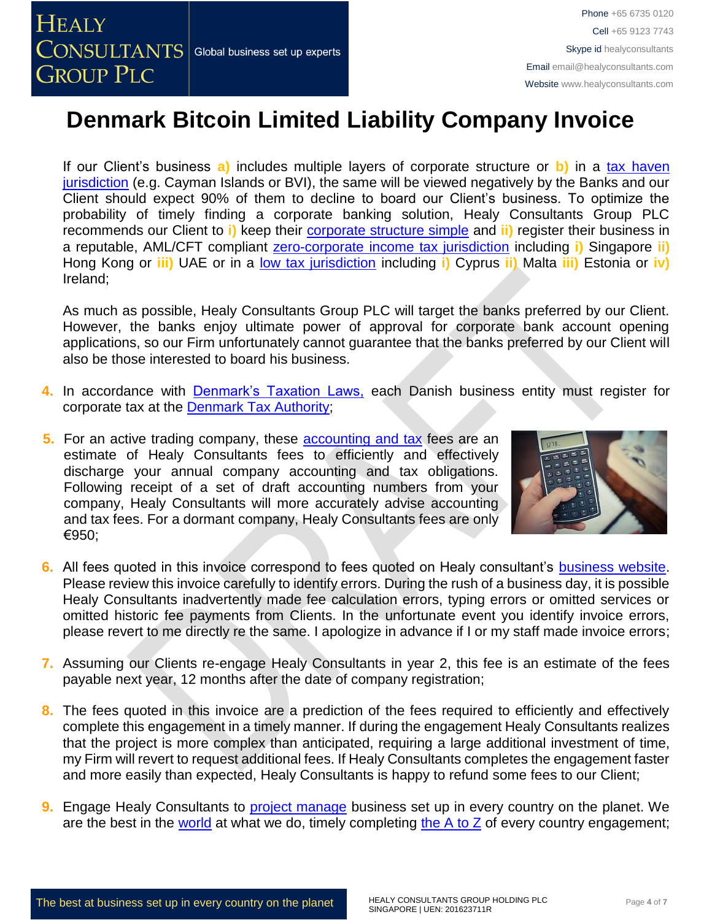If our Client's business **a)** includes multiple layers of corporate structure or **b)** in a [tax haven](http://www.healyconsultants.com/offshore-company-formation/traditional-tax-haven-companies/)  [jurisdiction](http://www.healyconsultants.com/offshore-company-formation/traditional-tax-haven-companies/) (e.g. Cayman Islands or BVI), the same will be viewed negatively by the Banks and our Client should expect 90% of them to decline to board our Client's business. To optimize the probability of timely finding a corporate banking solution, Healy Consultants Group PLC recommends our Client to **i)** keep their [corporate structure simple](http://www.healyconsultants.com/about-us/complex-client-engagements/simplify-business-setup/) and **ii)** register their business in a reputable, AML/CFT compliant [zero-corporate income tax jurisdiction](http://www.healyconsultants.com/company-formation/reputable-zero-tax-countries/) including **i)** Singapore **ii)** Hong Kong or **iii)** UAE or in a [low tax jurisdiction](http://www.healyconsultants.com/company-formation/low-tax-jurisdictions/) including **i)** Cyprus **ii)** Malta **iii)** Estonia or **iv)** Ireland;

As much as possible, Healy Consultants Group PLC will target the banks preferred by our Client. However, the banks enjoy ultimate power of approval for corporate bank account opening applications, so our Firm unfortunately cannot guarantee that the banks preferred by our Client will also be those interested to board his business.

- **4.** In accordance with [Denmark's Taxation Laws,](http://www.skat.dk/skat.aspx?oId=2068705&vId=0) each Danish business entity must register for corporate tax at the Denmark [Tax Authority;](https://www.tatime.gov.al/sq-al/Pages/default.aspx)
- **5.** For an active trading company, these **accounting and tax** fees are an estimate of Healy Consultants fees to efficiently and effectively discharge your annual company accounting and tax obligations. Following receipt of a set of draft accounting numbers from your company, Healy Consultants will more accurately advise accounting and tax fees. For a dormant company, Healy Consultants fees are only €950;



- **6.** All fees quoted in this invoice correspond to fees quoted on Healy consultant's [business website.](http://www.healyconsultants.com/company-registration-fees/) Please review this invoice carefully to identify errors. During the rush of a business day, it is possible Healy Consultants inadvertently made fee calculation errors, typing errors or omitted services or omitted historic fee payments from Clients. In the unfortunate event you identify invoice errors, please revert to me directly re the same. I apologize in advance if I or my staff made invoice errors;
- **7.** Assuming our Clients re-engage Healy Consultants in year 2, this fee is an estimate of the fees payable next year, 12 months after the date of company registration;
- **8.** The fees quoted in this invoice are a prediction of the fees required to efficiently and effectively complete this engagement in a timely manner. If during the engagement Healy Consultants realizes that the project is more complex than anticipated, requiring a large additional investment of time, my Firm will revert to request additional fees. If Healy Consultants completes the engagement faster and more easily than expected, Healy Consultants is happy to refund some fees to our Client;
- **9.** Engage Healy Consultants to [project manage](http://www.healyconsultants.com/project-manage-engagements/) business set up in every country on the planet. We are the best in the [world](http://www.healyconsultants.com/best-in-the-world/) at what we do, timely completing the  $A$  to  $Z$  of every country engagement;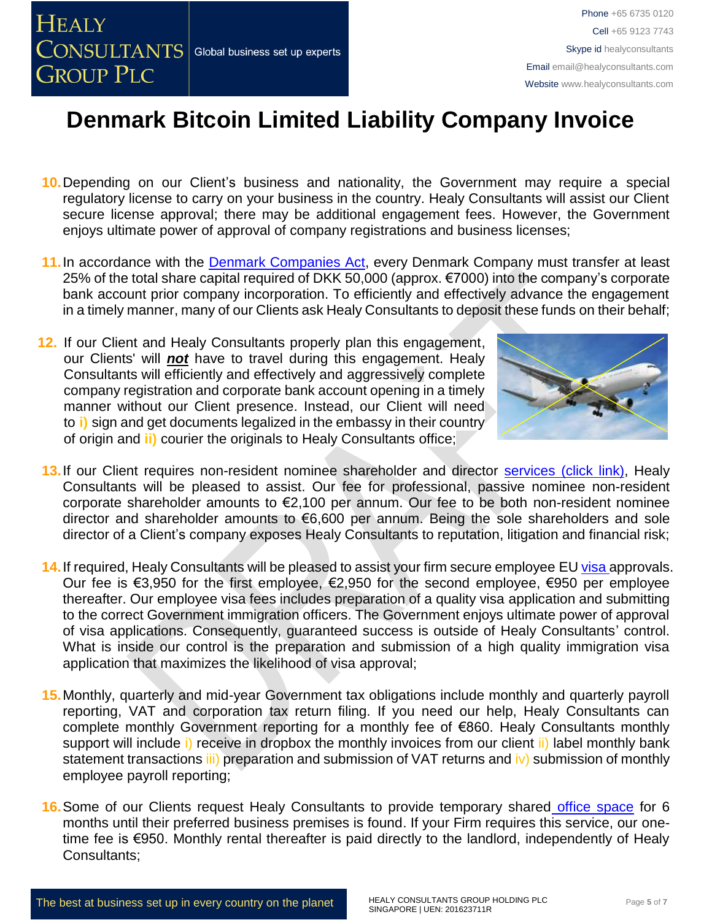

- **10.**Depending on our Client's business and nationality, the Government may require a special regulatory license to carry on your business in the country. Healy Consultants will assist our Client secure license approval; there may be additional engagement fees. However, the Government enjoys ultimate power of approval of company registrations and business licenses;
- **11.**In accordance with the [Denmark Companies Act,](http://www.eogs.dk/graphics/selskaber/APS_en.html) every Denmark Company must transfer at least 25% of the total share capital required of DKK 50,000 (approx. €7000) into the company's corporate bank account prior company incorporation. To efficiently and effectively advance the engagement in a timely manner, many of our Clients ask Healy Consultants to deposit these funds on their behalf;
- **12.** If our Client and Healy Consultants properly plan this engagement, our Clients' will *not* have to travel during this engagement. Healy Consultants will efficiently and effectively and aggressively complete company registration and corporate bank account opening in a timely manner without our Client presence. Instead, our Client will need to **i)** sign and get documents legalized in the embassy in their country of origin and **ii)** courier the originals to Healy Consultants office;



- 13. If our Client requires non-resident nominee shareholder and director services [\(click link\),](http://www.healyconsultants.com/corporate-outsourcing-services/nominee-shareholders-directors/) Healy Consultants will be pleased to assist. Our fee for professional, passive nominee non-resident corporate shareholder amounts to €2,100 per annum. Our fee to be both non-resident nominee director and shareholder amounts to €6,600 per annum. Being the sole shareholders and sole director of a Client's company exposes Healy Consultants to reputation, litigation and financial risk;
- 14. If required, Healy Consultants will be pleased to assist your firm secure employee EU [visa a](http://www.healyconsultants.com/denmark-company-registration/formation-support-services/)pprovals. Our fee is €3,950 for the first employee, €2,950 for the second employee, €950 per employee thereafter. Our employee visa fees includes preparation of a quality visa application and submitting to the correct Government immigration officers. The Government enjoys ultimate power of approval of visa applications. Consequently, guaranteed success is outside of Healy Consultants' control. What is inside our control is the preparation and submission of a high quality immigration visa application that maximizes the likelihood of visa approval;
- **15.**Monthly, quarterly and mid-year Government tax obligations include monthly and quarterly payroll reporting, VAT and corporation tax return filing. If you need our help, Healy Consultants can complete monthly Government reporting for a monthly fee of €860. Healy Consultants monthly support will include i) receive in dropbox the monthly invoices from our client ii) label monthly bank statement transactions iii) preparation and submission of VAT returns and iv) submission of monthly employee payroll reporting;
- **16.**Some of our Clients request Healy Consultants to provide temporary shared [office space](http://www.healyconsultants.com/virtual-office/) for 6 months until their preferred business premises is found. If your Firm requires this service, our onetime fee is €950. Monthly rental thereafter is paid directly to the landlord, independently of Healy Consultants;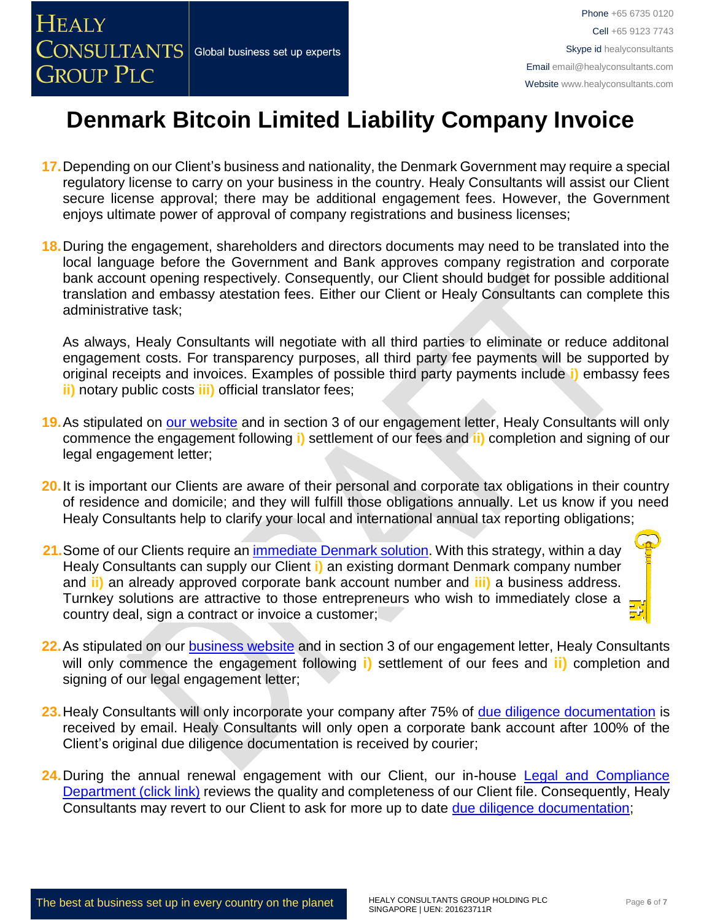

- **17.**Depending on our Client's business and nationality, the Denmark Government may require a special regulatory license to carry on your business in the country. Healy Consultants will assist our Client secure license approval; there may be additional engagement fees. However, the Government enjoys ultimate power of approval of company registrations and business licenses;
- **18.**During the engagement, shareholders and directors documents may need to be translated into the local language before the Government and Bank approves company registration and corporate bank account opening respectively. Consequently, our Client should budget for possible additional translation and embassy atestation fees. Either our Client or Healy Consultants can complete this administrative task;

As always, Healy Consultants will negotiate with all third parties to eliminate or reduce additonal engagement costs. For transparency purposes, all third party fee payments will be supported by original receipts and invoices. Examples of possible third party payments include **i)** embassy fees **ii)** notary public costs **iii)** official translator fees;

- **19.**As stipulated on [our website](http://www.healyconsultants.com/) and in section 3 of our engagement letter, Healy Consultants will only commence the engagement following **i)** settlement of our fees and **ii)** completion and signing of our legal engagement letter;
- **20.**It is important our Clients are aware of their personal and corporate tax obligations in their country of residence and domicile; and they will fulfill those obligations annually. Let us know if you need Healy Consultants help to clarify your local and international annual tax reporting obligations;
- **21.**Some of our Clients require an [immediate Denmark](http://www.healyconsultants.com/turnkey-solutions/) solution. With this strategy, within a day Healy Consultants can supply our Client **i)** an existing dormant Denmark company number and **ii)** an already approved corporate bank account number and **iii)** a business address. Turnkey solutions are attractive to those entrepreneurs who wish to immediately close a country deal, sign a contract or invoice a customer;
- **22.**As stipulated on our [business website](http://www.healyconsultants.com/) and in section 3 of our engagement letter, Healy Consultants will only commence the engagement following **i)** settlement of our fees and **ii)** completion and signing of our legal engagement letter;
- **23.**Healy Consultants will only incorporate your company after 75% of [due diligence documentation](http://www.healyconsultants.com/due-diligence/) is received by email. Healy Consultants will only open a corporate bank account after 100% of the Client's original due diligence documentation is received by courier;
- **24.**During the annual renewal engagement with our Client, our in-house [Legal and Compliance](http://www.healyconsultants.com/about-us/key-personnel/cai-xin-profile/)  [Department \(click link\)](http://www.healyconsultants.com/about-us/key-personnel/cai-xin-profile/) reviews the quality and completeness of our Client file. Consequently, Healy Consultants may revert to our Client to ask for more up to date [due diligence documentation;](http://www.healyconsultants.com/due-diligence/)